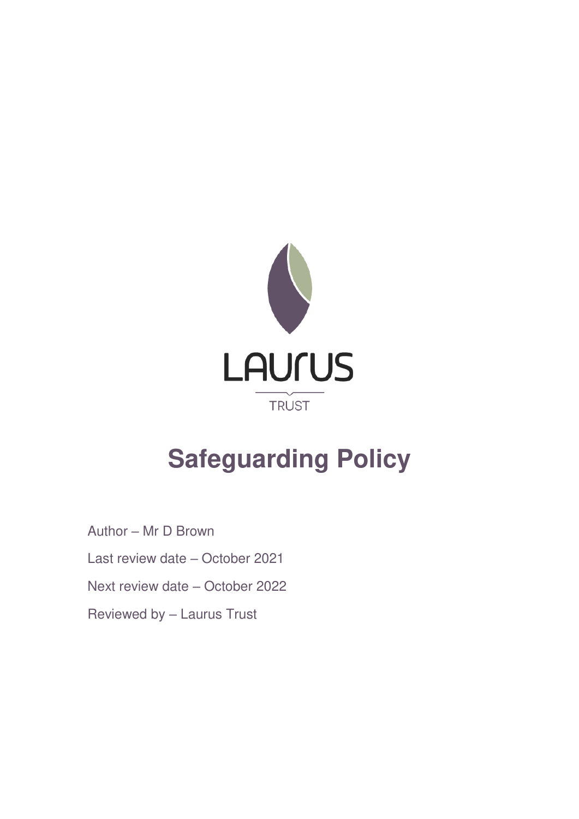

# **Safeguarding Policy**

Author – Mr D Brown Last review date – October 2021 Next review date – October 2022 Reviewed by – Laurus Trust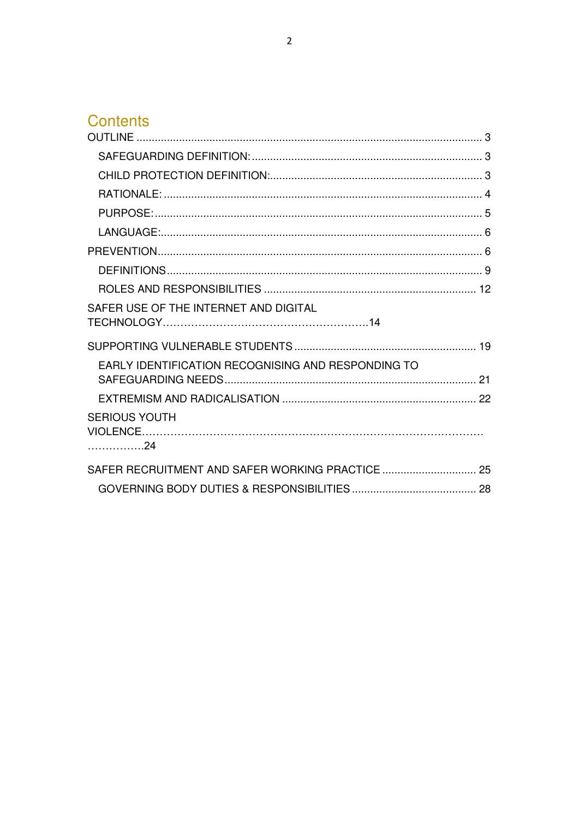# **Contents**

| SAFER USE OF THE INTERNET AND DIGITAL              |  |
|----------------------------------------------------|--|
|                                                    |  |
| EARLY IDENTIFICATION RECOGNISING AND RESPONDING TO |  |
|                                                    |  |
| <b>SERIOUS YOUTH</b><br>. 24                       |  |
|                                                    |  |
|                                                    |  |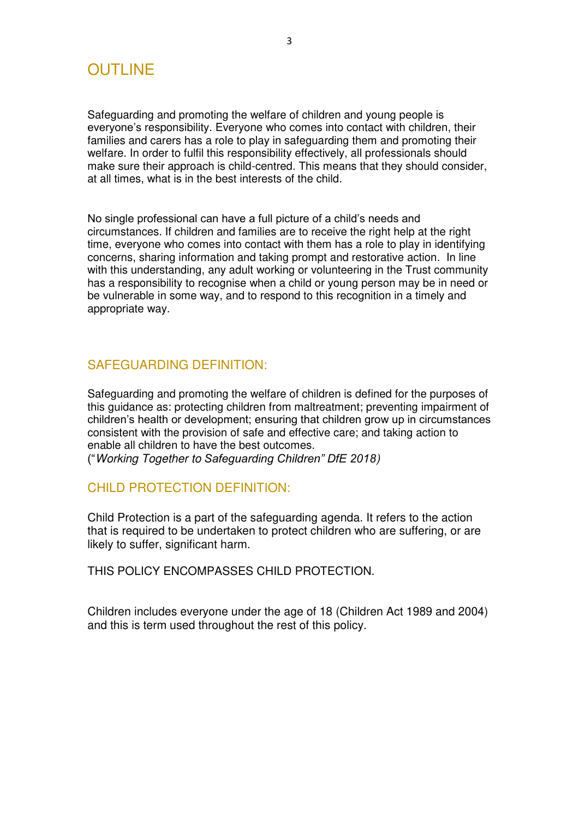## <span id="page-2-0"></span>OUTLINE

Safeguarding and promoting the welfare of children and young people is everyone's responsibility. Everyone who comes into contact with children, their families and carers has a role to play in safeguarding them and promoting their welfare. In order to fulfil this responsibility effectively, all professionals should make sure their approach is child-centred. This means that they should consider, at all times, what is in the best interests of the child.

No single professional can have a full picture of a child's needs and circumstances. If children and families are to receive the right help at the right time, everyone who comes into contact with them has a role to play in identifying concerns, sharing information and taking prompt and restorative action. In line with this understanding, any adult working or volunteering in the Trust community has a responsibility to recognise when a child or young person may be in need or be vulnerable in some way, and to respond to this recognition in a timely and appropriate way.

#### <span id="page-2-1"></span>SAFEGUARDING DEFINITION:

Safeguarding and promoting the welfare of children is defined for the purposes of this guidance as: protecting children from maltreatment; preventing impairment of children's health or development; ensuring that children grow up in circumstances consistent with the provision of safe and effective care; and taking action to enable all children to have the best outcomes.

("Working Together to *Safeguarding Children" DfE 2018*)

#### <span id="page-2-2"></span>CHILD PROTECTION DEFINITION:

Child Protection is a part of the safeguarding agenda. It refers to the action that is required to be undertaken to protect children who are suffering, or are likely to suffer, significant harm.

THIS POLICY ENCOMPASSES CHILD PROTECTION.

Children includes everyone under the age of 18 (Children Act 1989 and 2004) and this is term used throughout the rest of this policy.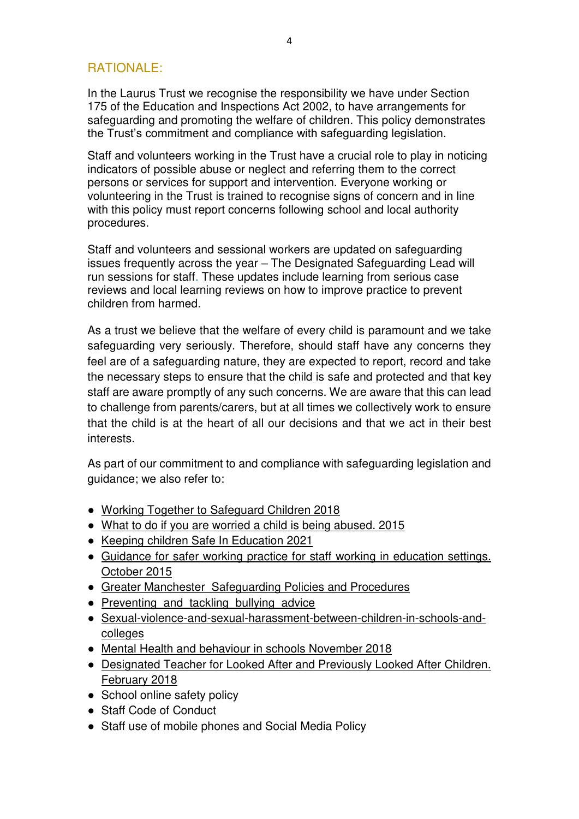## <span id="page-3-0"></span>RATIONALE:

In the Laurus Trust we recognise the responsibility we have under Section 175 of the Education and Inspections Act 2002, to have arrangements for safeguarding and promoting the welfare of children. This policy demonstrates the Trust's commitment and compliance with safeguarding legislation.

Staff and volunteers working in the Trust have a crucial role to play in noticing indicators of possible abuse or neglect and referring them to the correct persons or services for support and intervention. Everyone working or volunteering in the Trust is trained to recognise signs of concern and in line with this policy must report concerns following school and local authority procedures.

Staff and volunteers and sessional workers are updated on safeguarding issues frequently across the year – The Designated Safeguarding Lead will run sessions for staff. These updates include learning from serious case reviews and local learning reviews on how to improve practice to prevent children from harmed.

As a trust we believe that the welfare of every child is paramount and we take safeguarding very seriously. Therefore, should staff have any concerns they feel are of a safeguarding nature, they are expected to report, record and take the necessary steps to ensure that the child is safe and protected and that key staff are aware promptly of any such concerns. We are aware that this can lead to challenge from parents/carers, but at all times we collectively work to ensure that the child is at the heart of all our decisions and that we act in their best interests.

As part of our commitment to and compliance with safeguarding legislation and guidance; we also refer to:

- [Working Together to Safeguard Children 2018](https://assets.publishing.service.gov.uk/government/uploads/system/uploads/attachment_data/file/729914/Working_Together_to_Safeguard_Children-2018.pdf)
- What to do if you are worried a child is being abused. 2015
- Keeping children Safe In Education 2021
- Guidance for safer working practice for staff working in education settings. [October 2015](https://www.saferrecruitmentconsortium.org/GSWP%20Oct%202015.pdf)
- [Greater Manchester Safeguarding Policies and Procedures](http://greatermanchesterscb.proceduresonline.com/index.htm)
- Preventing and tackling bullying advice
- [Sexual-violence-and-sexual-harassment-between-children-in-schools-and](https://www.gov.uk/government/publications/sexual-violence-and-sexual-harassment-between-children-in-schools-and-colleges)[colleges](https://www.gov.uk/government/publications/sexual-violence-and-sexual-harassment-between-children-in-schools-and-colleges)
- [Mental Health and behaviour in schools November 2018](https://assets.publishing.service.gov.uk/government/uploads/system/uploads/attachment_data/file/755135/Mental_health_and_behaviour_in_schools__.pdf)
- [Designated Teacher for Looked After and Previously Looked After Children.](https://www.gov.uk/government/publications/designated-teacher-for-looked-after-children)  [February 2018](https://www.gov.uk/government/publications/designated-teacher-for-looked-after-children)
- School online safety policy
- Staff Code of Conduct
- Staff use of mobile phones and Social Media Policy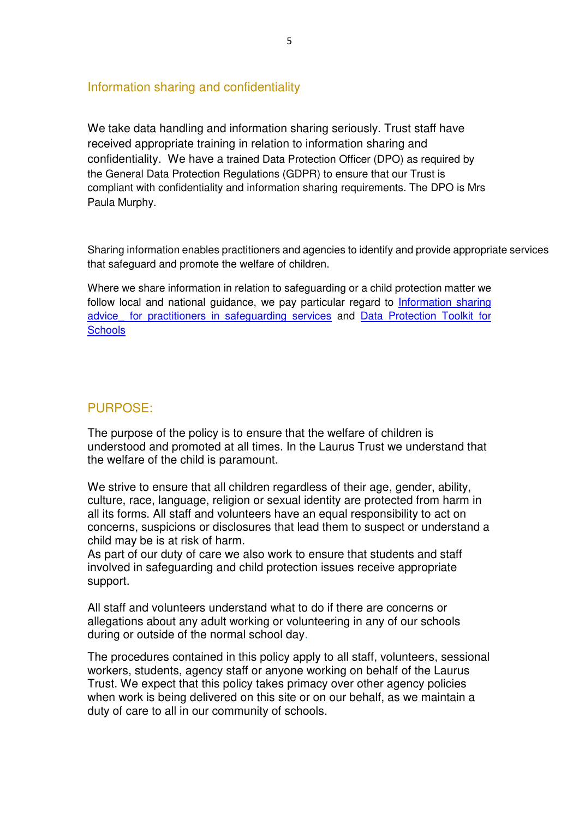#### Information sharing and confidentiality

We take data handling and information sharing seriously. Trust staff have received appropriate training in relation to information sharing and confidentiality. We have a trained Data Protection Officer (DPO) as required by the General Data Protection Regulations (GDPR) to ensure that our Trust is compliant with confidentiality and information sharing requirements. The DPO is Mrs Paula Murphy.

Sharing information enables practitioners and agencies to identify and provide appropriate services that safeguard and promote the welfare of children.

Where we share information in relation to safeguarding or a child protection matter we follow local and national guidance, we pay particular regard to [Information sharing](https://assets.publishing.service.gov.uk/government/uploads/system/uploads/attachment_data/file/721581/Information_sharing_advice_practitioners_safeguarding_services.pdf)  advice for practitioners in safeguarding services and Data Protection Toolkit for **[Schools](https://assets.publishing.service.gov.uk/government/uploads/system/uploads/attachment_data/file/747620/Data_Protection_Toolkit_for_Schools_OpenBeta.pdf)** 

#### <span id="page-4-0"></span>PURPOSE:

The purpose of the policy is to ensure that the welfare of children is understood and promoted at all times. In the Laurus Trust we understand that the welfare of the child is paramount.

We strive to ensure that all children regardless of their age, gender, ability, culture, race, language, religion or sexual identity are protected from harm in all its forms. All staff and volunteers have an equal responsibility to act on concerns, suspicions or disclosures that lead them to suspect or understand a child may be is at risk of harm.

As part of our duty of care we also work to ensure that students and staff involved in safeguarding and child protection issues receive appropriate support.

All staff and volunteers understand what to do if there are concerns or allegations about any adult working or volunteering in any of our schools during or outside of the normal school day.

The procedures contained in this policy apply to all staff, volunteers, sessional workers, students, agency staff or anyone working on behalf of the Laurus Trust. We expect that this policy takes primacy over other agency policies when work is being delivered on this site or on our behalf, as we maintain a duty of care to all in our community of schools.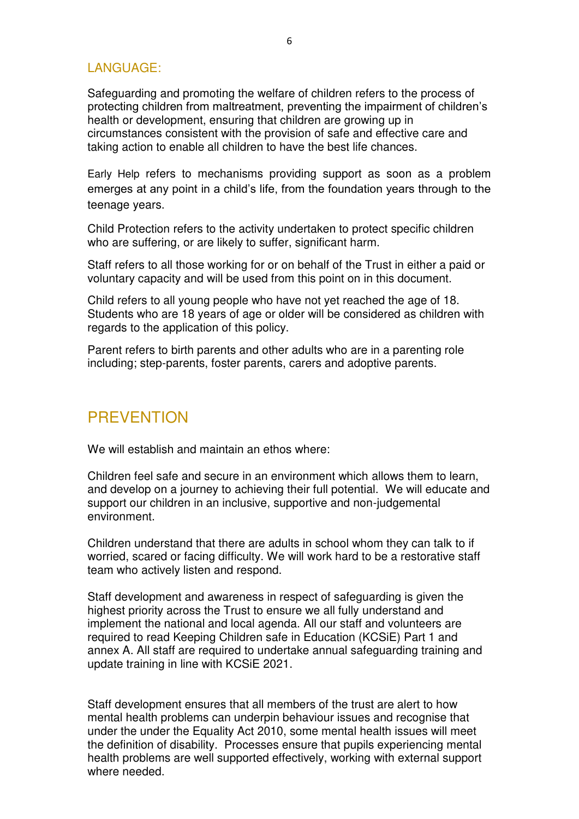#### <span id="page-5-0"></span>LANGUAGE:

Safeguarding and promoting the welfare of children refers to the process of protecting children from maltreatment, preventing the impairment of children's health or development, ensuring that children are growing up in circumstances consistent with the provision of safe and effective care and taking action to enable all children to have the best life chances.

Early Help refers to mechanisms providing support as soon as a problem emerges at any point in a child's life, from the foundation years through to the teenage years.

Child Protection refers to the activity undertaken to protect specific children who are suffering, or are likely to suffer, significant harm.

Staff refers to all those working for or on behalf of the Trust in either a paid or voluntary capacity and will be used from this point on in this document.

Child refers to all young people who have not yet reached the age of 18. Students who are 18 years of age or older will be considered as children with regards to the application of this policy.

Parent refers to birth parents and other adults who are in a parenting role including; step-parents, foster parents, carers and adoptive parents.

## <span id="page-5-1"></span>**PREVENTION**

We will establish and maintain an ethos where:

Children feel safe and secure in an environment which allows them to learn, and develop on a journey to achieving their full potential. We will educate and support our children in an inclusive, supportive and non-judgemental environment.

Children understand that there are adults in school whom they can talk to if worried, scared or facing difficulty. We will work hard to be a restorative staff team who actively listen and respond.

Staff development and awareness in respect of safeguarding is given the highest priority across the Trust to ensure we all fully understand and implement the national and local agenda. All our staff and volunteers are required to read Keeping Children safe in Education (KCSiE) Part 1 and annex A. All staff are required to undertake annual safeguarding training and update training in line with KCSiE 2021.

Staff development ensures that all members of the trust are alert to how mental health problems can underpin behaviour issues and recognise that under the under the Equality Act 2010, some mental health issues will meet the definition of disability. Processes ensure that pupils experiencing mental health problems are well supported effectively, working with external support where needed.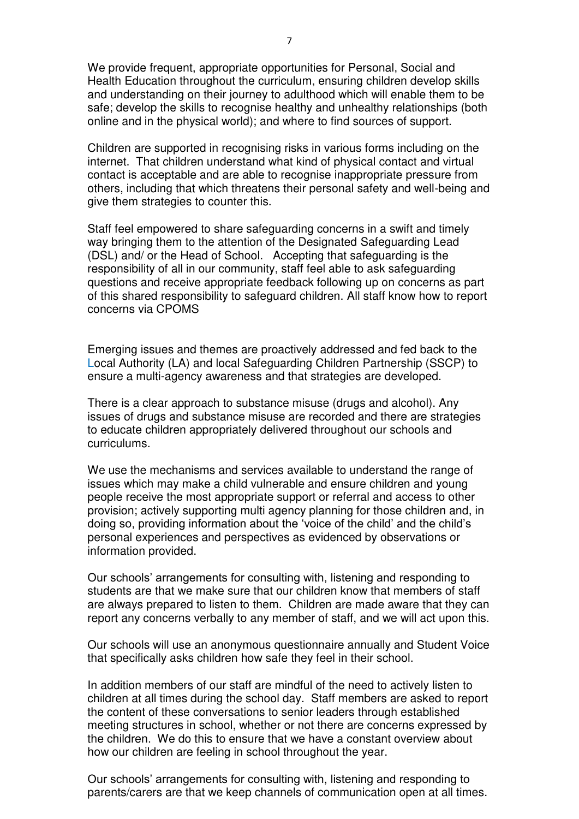We provide frequent, appropriate opportunities for Personal, Social and Health Education throughout the curriculum, ensuring children develop skills and understanding on their journey to adulthood which will enable them to be safe; develop the skills to recognise healthy and unhealthy relationships (both online and in the physical world); and where to find sources of support.

Children are supported in recognising risks in various forms including on the internet. That children understand what kind of physical contact and virtual contact is acceptable and are able to recognise inappropriate pressure from others, including that which threatens their personal safety and well-being and give them strategies to counter this.

Staff feel empowered to share safeguarding concerns in a swift and timely way bringing them to the attention of the Designated Safeguarding Lead (DSL) and/ or the Head of School. Accepting that safeguarding is the responsibility of all in our community, staff feel able to ask safeguarding questions and receive appropriate feedback following up on concerns as part of this shared responsibility to safeguard children. All staff know how to report concerns via CPOMS

Emerging issues and themes are proactively addressed and fed back to the Local Authority (LA) and local Safeguarding Children Partnership (SSCP) to ensure a multi-agency awareness and that strategies are developed.

There is a clear approach to substance misuse (drugs and alcohol). Any issues of drugs and substance misuse are recorded and there are strategies to educate children appropriately delivered throughout our schools and curriculums.

We use the mechanisms and services available to understand the range of issues which may make a child vulnerable and ensure children and young people receive the most appropriate support or referral and access to other provision; actively supporting multi agency planning for those children and, in doing so, providing information about the 'voice of the child' and the child's personal experiences and perspectives as evidenced by observations or information provided.

Our schools' arrangements for consulting with, listening and responding to students are that we make sure that our children know that members of staff are always prepared to listen to them. Children are made aware that they can report any concerns verbally to any member of staff, and we will act upon this.

Our schools will use an anonymous questionnaire annually and Student Voice that specifically asks children how safe they feel in their school.

In addition members of our staff are mindful of the need to actively listen to children at all times during the school day. Staff members are asked to report the content of these conversations to senior leaders through established meeting structures in school, whether or not there are concerns expressed by the children. We do this to ensure that we have a constant overview about how our children are feeling in school throughout the year.

Our schools' arrangements for consulting with, listening and responding to parents/carers are that we keep channels of communication open at all times.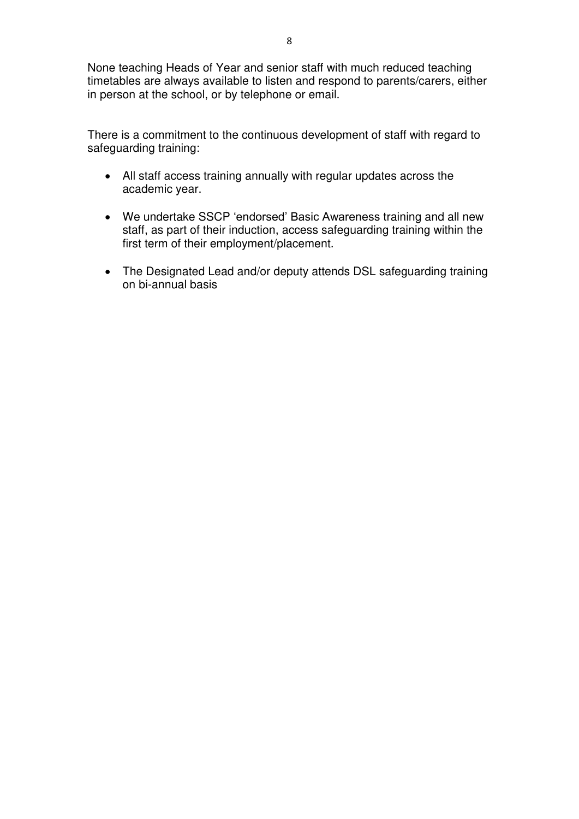There is a commitment to the continuous development of staff with regard to safeguarding training:

- All staff access training annually with regular updates across the academic year.
- We undertake SSCP 'endorsed' Basic Awareness training and all new staff, as part of their induction, access safeguarding training within the first term of their employment/placement.
- The Designated Lead and/or deputy attends DSL safeguarding training on bi-annual basis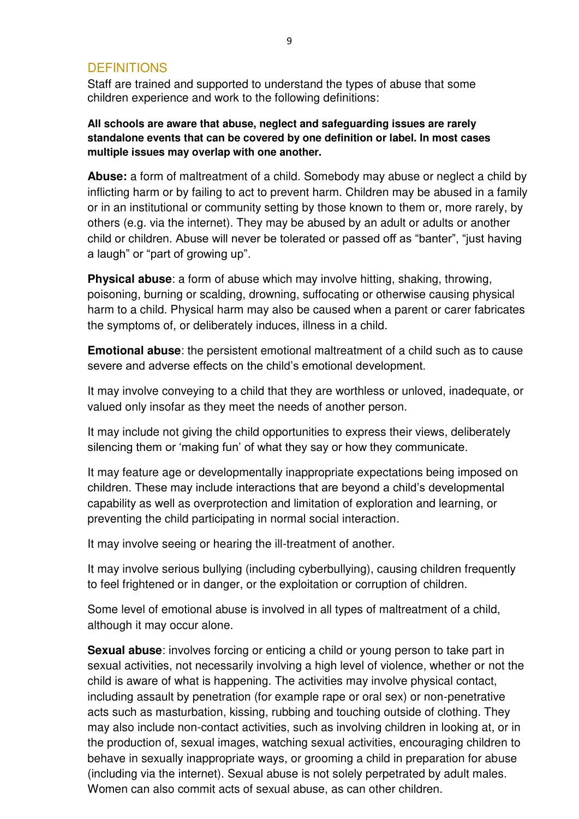#### <span id="page-8-0"></span>**DEFINITIONS**

Staff are trained and supported to understand the types of abuse that some children experience and work to the following definitions:

**All schools are aware that abuse, neglect and safeguarding issues are rarely standalone events that can be covered by one definition or label. In most cases multiple issues may overlap with one another.** 

**Abuse:** a form of maltreatment of a child. Somebody may abuse or neglect a child by inflicting harm or by failing to act to prevent harm. Children may be abused in a family or in an institutional or community setting by those known to them or, more rarely, by others (e.g. via the internet). They may be abused by an adult or adults or another child or children. Abuse will never be tolerated or passed off as "banter", "just having a laugh" or "part of growing up".

**Physical abuse**: a form of abuse which may involve hitting, shaking, throwing, poisoning, burning or scalding, drowning, suffocating or otherwise causing physical harm to a child. Physical harm may also be caused when a parent or carer fabricates the symptoms of, or deliberately induces, illness in a child.

**Emotional abuse**: the persistent emotional maltreatment of a child such as to cause severe and adverse effects on the child's emotional development.

It may involve conveying to a child that they are worthless or unloved, inadequate, or valued only insofar as they meet the needs of another person.

It may include not giving the child opportunities to express their views, deliberately silencing them or 'making fun' of what they say or how they communicate.

It may feature age or developmentally inappropriate expectations being imposed on children. These may include interactions that are beyond a child's developmental capability as well as overprotection and limitation of exploration and learning, or preventing the child participating in normal social interaction.

It may involve seeing or hearing the ill-treatment of another.

It may involve serious bullying (including cyberbullying), causing children frequently to feel frightened or in danger, or the exploitation or corruption of children.

Some level of emotional abuse is involved in all types of maltreatment of a child, although it may occur alone.

**Sexual abuse**: involves forcing or enticing a child or young person to take part in sexual activities, not necessarily involving a high level of violence, whether or not the child is aware of what is happening. The activities may involve physical contact, including assault by penetration (for example rape or oral sex) or non-penetrative acts such as masturbation, kissing, rubbing and touching outside of clothing. They may also include non-contact activities, such as involving children in looking at, or in the production of, sexual images, watching sexual activities, encouraging children to behave in sexually inappropriate ways, or grooming a child in preparation for abuse (including via the internet). Sexual abuse is not solely perpetrated by adult males. Women can also commit acts of sexual abuse, as can other children.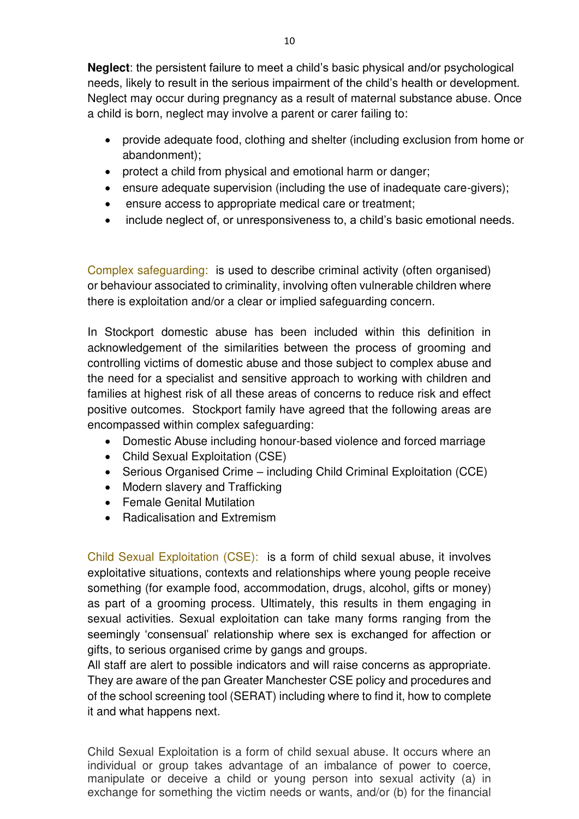**Neglect**: the persistent failure to meet a child's basic physical and/or psychological needs, likely to result in the serious impairment of the child's health or development. Neglect may occur during pregnancy as a result of maternal substance abuse. Once a child is born, neglect may involve a parent or carer failing to:

- provide adequate food, clothing and shelter (including exclusion from home or abandonment);
- protect a child from physical and emotional harm or danger;
- ensure adequate supervision (including the use of inadequate care-givers);
- ensure access to appropriate medical care or treatment;
- include neglect of, or unresponsiveness to, a child's basic emotional needs.

Complex safeguarding: is used to describe criminal activity (often organised) or behaviour associated to criminality, involving often vulnerable children where there is exploitation and/or a clear or implied safeguarding concern.

In Stockport domestic abuse has been included within this definition in acknowledgement of the similarities between the process of grooming and controlling victims of domestic abuse and those subject to complex abuse and the need for a specialist and sensitive approach to working with children and families at highest risk of all these areas of concerns to reduce risk and effect positive outcomes. Stockport family have agreed that the following areas are encompassed within complex safeguarding:

- Domestic Abuse including honour-based violence and forced marriage
- Child Sexual Exploitation (CSE)
- Serious Organised Crime including Child Criminal Exploitation (CCE)
- Modern slavery and Trafficking
- Female Genital Mutilation
- Radicalisation and Extremism

Child Sexual Exploitation (CSE): is a form of child sexual abuse, it involves exploitative situations, contexts and relationships where young people receive something (for example food, accommodation, drugs, alcohol, gifts or money) as part of a grooming process. Ultimately, this results in them engaging in sexual activities. Sexual exploitation can take many forms ranging from the seemingly 'consensual' relationship where sex is exchanged for affection or gifts, to serious organised crime by gangs and groups.

All staff are alert to possible indicators and will raise concerns as appropriate. They are aware of the pan Greater Manchester CSE policy and procedures and of the school screening tool (SERAT) including where to find it, how to complete it and what happens next.

Child Sexual Exploitation is a form of child sexual abuse. It occurs where an individual or group takes advantage of an imbalance of power to coerce, manipulate or deceive a child or young person into sexual activity (a) in exchange for something the victim needs or wants, and/or (b) for the financial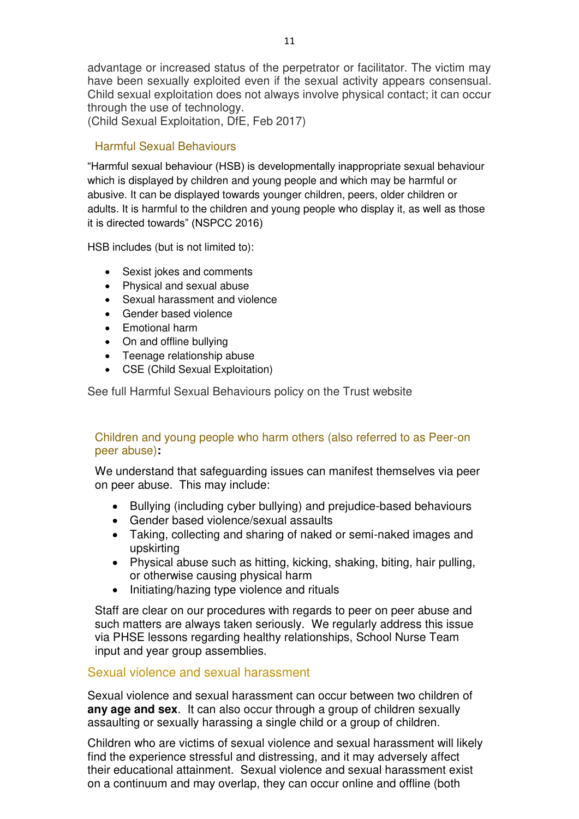advantage or increased status of the perpetrator or facilitator. The victim may have been sexually exploited even if the sexual activity appears consensual. Child sexual exploitation does not always involve physical contact; it can occur through the use of technology.

(Child Sexual Exploitation, DfE, Feb 2017)

#### Harmful Sexual Behaviours

"Harmful sexual behaviour (HSB) is developmentally inappropriate sexual behaviour which is displayed by children and young people and which may be harmful or abusive. It can be displayed towards younger children, peers, older children or adults. It is harmful to the children and young people who display it, as well as those it is directed towards" (NSPCC 2016)

HSB includes (but is not limited to):

- Sexist jokes and comments
- Physical and sexual abuse
- Sexual harassment and violence
- Gender based violence
- Emotional harm
- On and offline bullying
- Teenage relationship abuse
- CSE (Child Sexual Exploitation)

See full Harmful Sexual Behaviours policy on the Trust website

#### Children and young people who harm others (also referred to as Peer-on peer abuse)**:**

We understand that safeguarding issues can manifest themselves via peer on peer abuse. This may include:

- Bullying (including cyber bullying) and prejudice-based behaviours
- Gender based violence/sexual assaults
- Taking, collecting and sharing of naked or semi-naked images and upskirting
- Physical abuse such as hitting, kicking, shaking, biting, hair pulling, or otherwise causing physical harm
- Initiating/hazing type violence and rituals

Staff are clear on our procedures with regards to peer on peer abuse and such matters are always taken seriously. We regularly address this issue via PHSE lessons regarding healthy relationships, School Nurse Team input and year group assemblies.

#### Sexual violence and sexual harassment

Sexual violence and sexual harassment can occur between two children of **any age and sex**. It can also occur through a group of children sexually assaulting or sexually harassing a single child or a group of children.

Children who are victims of sexual violence and sexual harassment will likely find the experience stressful and distressing, and it may adversely affect their educational attainment. Sexual violence and sexual harassment exist on a continuum and may overlap, they can occur online and offline (both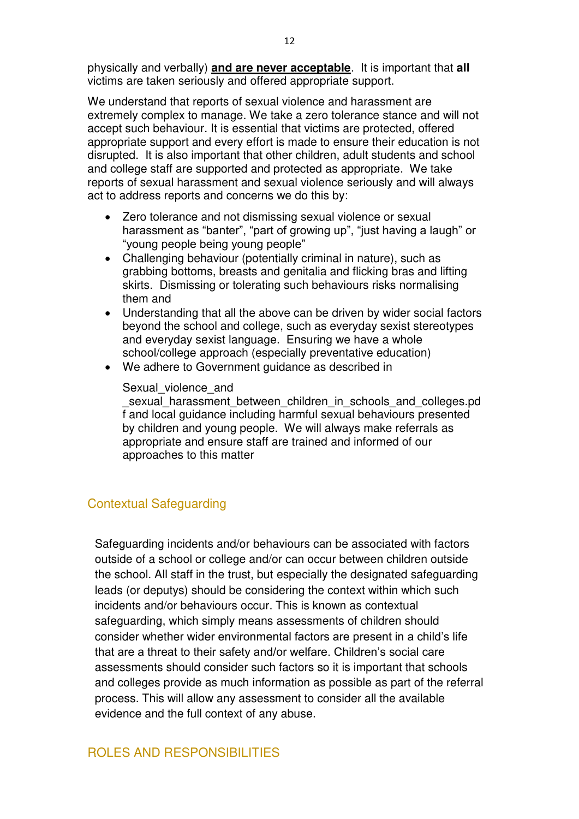physically and verbally) **and are never acceptable**. It is important that **all** victims are taken seriously and offered appropriate support.

We understand that reports of sexual violence and harassment are extremely complex to manage. We take a zero tolerance stance and will not accept such behaviour. It is essential that victims are protected, offered appropriate support and every effort is made to ensure their education is not disrupted. It is also important that other children, adult students and school and college staff are supported and protected as appropriate. We take reports of sexual harassment and sexual violence seriously and will always act to address reports and concerns we do this by:

- Zero tolerance and not dismissing sexual violence or sexual harassment as "banter", "part of growing up", "just having a laugh" or "young people being young people"
- Challenging behaviour (potentially criminal in nature), such as grabbing bottoms, breasts and genitalia and flicking bras and lifting skirts. Dismissing or tolerating such behaviours risks normalising them and
- Understanding that all the above can be driven by wider social factors beyond the school and college, such as everyday sexist stereotypes and everyday sexist language. Ensuring we have a whole school/college approach (especially preventative education)
- We adhere to Government guidance as described in

#### Sexual violence and

sexual harassment between children in schools and colleges.pd f and local guidance including harmful sexual behaviours presented by children and young people. We will always make referrals as appropriate and ensure staff are trained and informed of our approaches to this matter

#### Contextual Safeguarding

Safeguarding incidents and/or behaviours can be associated with factors outside of a school or college and/or can occur between children outside the school. All staff in the trust, but especially the designated safeguarding leads (or deputys) should be considering the context within which such incidents and/or behaviours occur. This is known as contextual safeguarding, which simply means assessments of children should consider whether wider environmental factors are present in a child's life that are a threat to their safety and/or welfare. Children's social care assessments should consider such factors so it is important that schools and colleges provide as much information as possible as part of the referral process. This will allow any assessment to consider all the available evidence and the full context of any abuse.

#### <span id="page-11-0"></span>ROLES AND RESPONSIBILITIES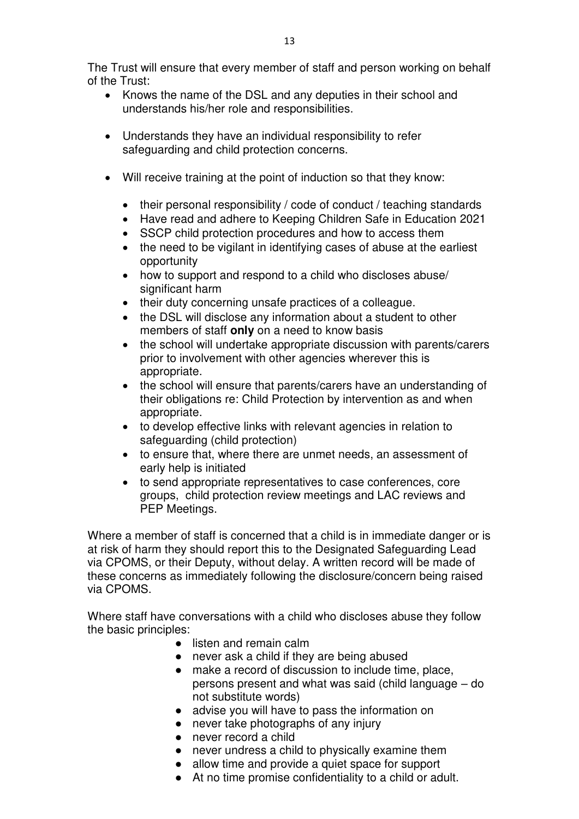The Trust will ensure that every member of staff and person working on behalf of the Trust:

- Knows the name of the DSL and any deputies in their school and understands his/her role and responsibilities.
- Understands they have an individual responsibility to refer safeguarding and child protection concerns.
- Will receive training at the point of induction so that they know:
	- their personal responsibility / code of conduct / teaching standards
	- Have read and adhere to Keeping Children Safe in Education 2021
	- SSCP child protection procedures and how to access them
	- the need to be vigilant in identifying cases of abuse at the earliest opportunity
	- how to support and respond to a child who discloses abuse/ significant harm
	- their duty concerning unsafe practices of a colleague.
	- the DSL will disclose any information about a student to other members of staff **only** on a need to know basis
	- the school will undertake appropriate discussion with parents/carers prior to involvement with other agencies wherever this is appropriate.
	- the school will ensure that parents/carers have an understanding of their obligations re: Child Protection by intervention as and when appropriate.
	- to develop effective links with relevant agencies in relation to safeguarding (child protection)
	- to ensure that, where there are unmet needs, an assessment of early help is initiated
	- to send appropriate representatives to case conferences, core groups, child protection review meetings and LAC reviews and PEP Meetings.

Where a member of staff is concerned that a child is in immediate danger or is at risk of harm they should report this to the Designated Safeguarding Lead via CPOMS, or their Deputy, without delay. A written record will be made of these concerns as immediately following the disclosure/concern being raised via CPOMS.

Where staff have conversations with a child who discloses abuse they follow the basic principles:

- listen and remain calm
- never ask a child if they are being abused
- make a record of discussion to include time, place, persons present and what was said (child language – do not substitute words)
- advise you will have to pass the information on
- never take photographs of any injury
- never record a child
- never undress a child to physically examine them
- allow time and provide a quiet space for support
- At no time promise confidentiality to a child or adult.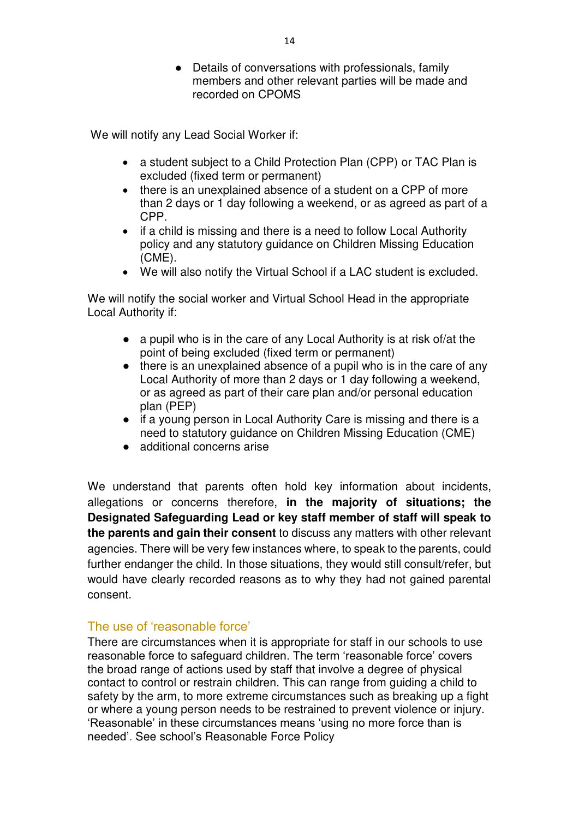● Details of conversations with professionals, family members and other relevant parties will be made and recorded on CPOMS

We will notify any Lead Social Worker if:

- a student subject to a Child Protection Plan (CPP) or TAC Plan is excluded (fixed term or permanent)
- there is an unexplained absence of a student on a CPP of more than 2 days or 1 day following a weekend, or as agreed as part of a CPP.
- if a child is missing and there is a need to follow Local Authority policy and any statutory guidance on Children Missing Education (CME).
- We will also notify the Virtual School if a LAC student is excluded.

We will notify the social worker and Virtual School Head in the appropriate Local Authority if:

- a pupil who is in the care of any Local Authority is at risk of/at the point of being excluded (fixed term or permanent)
- there is an unexplained absence of a pupil who is in the care of any Local Authority of more than 2 days or 1 day following a weekend, or as agreed as part of their care plan and/or personal education plan (PEP)
- if a young person in Local Authority Care is missing and there is a need to statutory guidance on Children Missing Education (CME)
- additional concerns arise

We understand that parents often hold key information about incidents, allegations or concerns therefore, **in the majority of situations; the Designated Safeguarding Lead or key staff member of staff will speak to the parents and gain their consent** to discuss any matters with other relevant agencies. There will be very few instances where, to speak to the parents, could further endanger the child. In those situations, they would still consult/refer, but would have clearly recorded reasons as to why they had not gained parental consent.

#### The use of 'reasonable force'

There are circumstances when it is appropriate for staff in our schools to use reasonable force to safeguard children. The term 'reasonable force' covers the broad range of actions used by staff that involve a degree of physical contact to control or restrain children. This can range from guiding a child to safety by the arm, to more extreme circumstances such as breaking up a fight or where a young person needs to be restrained to prevent violence or injury. 'Reasonable' in these circumstances means 'using no more force than is needed'. See school's Reasonable Force Policy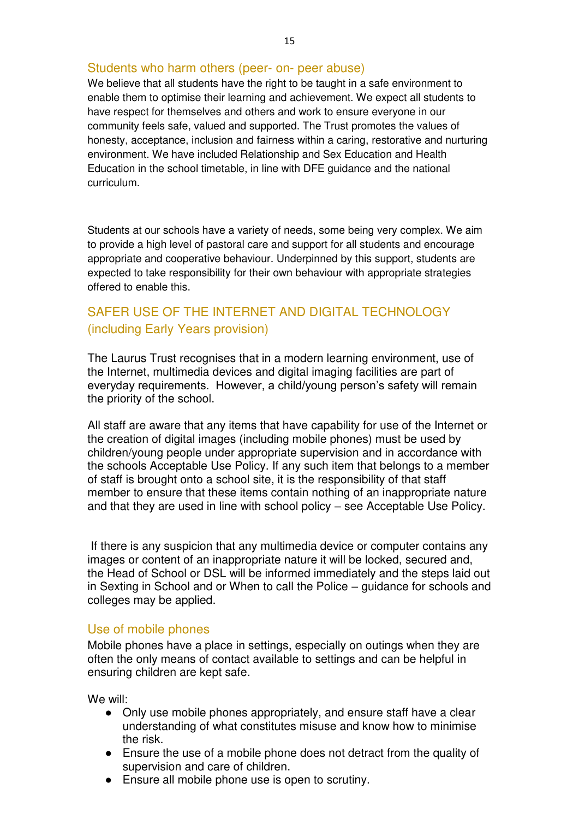#### Students who harm others (peer- on- peer abuse)

We believe that all students have the right to be taught in a safe environment to enable them to optimise their learning and achievement. We expect all students to have respect for themselves and others and work to ensure everyone in our community feels safe, valued and supported. The Trust promotes the values of honesty, acceptance, inclusion and fairness within a caring, restorative and nurturing environment. We have included Relationship and Sex Education and Health Education in the school timetable, in line with DFE guidance and the national curriculum.

Students at our schools have a variety of needs, some being very complex. We aim to provide a high level of pastoral care and support for all students and encourage appropriate and cooperative behaviour. Underpinned by this support, students are expected to take responsibility for their own behaviour with appropriate strategies offered to enable this.

#### SAFER USE OF THE INTERNET AND DIGITAL TECHNOLOGY (including Early Years provision)

The Laurus Trust recognises that in a modern learning environment, use of the Internet, multimedia devices and digital imaging facilities are part of everyday requirements. However, a child/young person's safety will remain the priority of the school.

All staff are aware that any items that have capability for use of the Internet or the creation of digital images (including mobile phones) must be used by children/young people under appropriate supervision and in accordance with the schools Acceptable Use Policy. If any such item that belongs to a member of staff is brought onto a school site, it is the responsibility of that staff member to ensure that these items contain nothing of an inappropriate nature and that they are used in line with school policy – see Acceptable Use Policy.

 If there is any suspicion that any multimedia device or computer contains any images or content of an inappropriate nature it will be locked, secured and, the Head of School or DSL will be informed immediately and the steps laid out in Sexting in School and or When to call the Police – guidance for schools and colleges may be applied.

#### Use of mobile phones

Mobile phones have a place in settings, especially on outings when they are often the only means of contact available to settings and can be helpful in ensuring children are kept safe.

We will:

- Only use mobile phones appropriately, and ensure staff have a clear understanding of what constitutes misuse and know how to minimise the risk.
- Ensure the use of a mobile phone does not detract from the quality of supervision and care of children.
- Ensure all mobile phone use is open to scrutiny.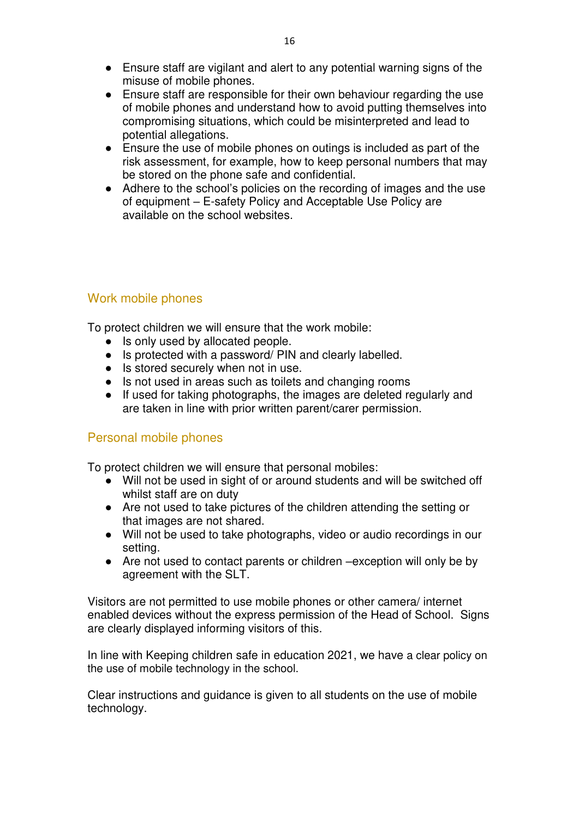- Ensure staff are vigilant and alert to any potential warning signs of the misuse of mobile phones.
- Ensure staff are responsible for their own behaviour regarding the use of mobile phones and understand how to avoid putting themselves into compromising situations, which could be misinterpreted and lead to potential allegations.
- Ensure the use of mobile phones on outings is included as part of the risk assessment, for example, how to keep personal numbers that may be stored on the phone safe and confidential.
- Adhere to the school's policies on the recording of images and the use of equipment – E-safety Policy and Acceptable Use Policy are available on the school websites.

### Work mobile phones

To protect children we will ensure that the work mobile:

- Is only used by allocated people.
- Is protected with a password/ PIN and clearly labelled.
- Is stored securely when not in use.
- Is not used in areas such as toilets and changing rooms
- If used for taking photographs, the images are deleted regularly and are taken in line with prior written parent/carer permission.

#### Personal mobile phones

To protect children we will ensure that personal mobiles:

- Will not be used in sight of or around students and will be switched off whilst staff are on duty
- Are not used to take pictures of the children attending the setting or that images are not shared.
- Will not be used to take photographs, video or audio recordings in our setting.
- Are not used to contact parents or children –exception will only be by agreement with the SLT.

Visitors are not permitted to use mobile phones or other camera/ internet enabled devices without the express permission of the Head of School. Signs are clearly displayed informing visitors of this.

In line with Keeping children safe in education 2021, we have a clear policy on the use of mobile technology in the school.

Clear instructions and guidance is given to all students on the use of mobile technology.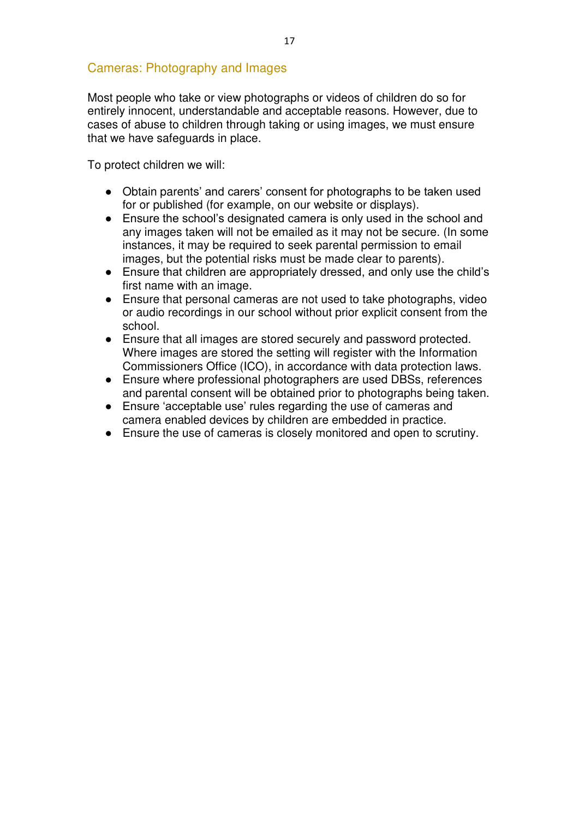#### Cameras: Photography and Images

Most people who take or view photographs or videos of children do so for entirely innocent, understandable and acceptable reasons. However, due to cases of abuse to children through taking or using images, we must ensure that we have safeguards in place.

To protect children we will:

- Obtain parents' and carers' consent for photographs to be taken used for or published (for example, on our website or displays).
- Ensure the school's designated camera is only used in the school and any images taken will not be emailed as it may not be secure. (In some instances, it may be required to seek parental permission to email images, but the potential risks must be made clear to parents).
- Ensure that children are appropriately dressed, and only use the child's first name with an image.
- Ensure that personal cameras are not used to take photographs, video or audio recordings in our school without prior explicit consent from the school.
- Ensure that all images are stored securely and password protected. Where images are stored the setting will register with the Information Commissioners Office (ICO), in accordance with data protection laws.
- Ensure where professional photographers are used DBSs, references and parental consent will be obtained prior to photographs being taken.
- Ensure 'acceptable use' rules regarding the use of cameras and camera enabled devices by children are embedded in practice.
- Ensure the use of cameras is closely monitored and open to scrutiny.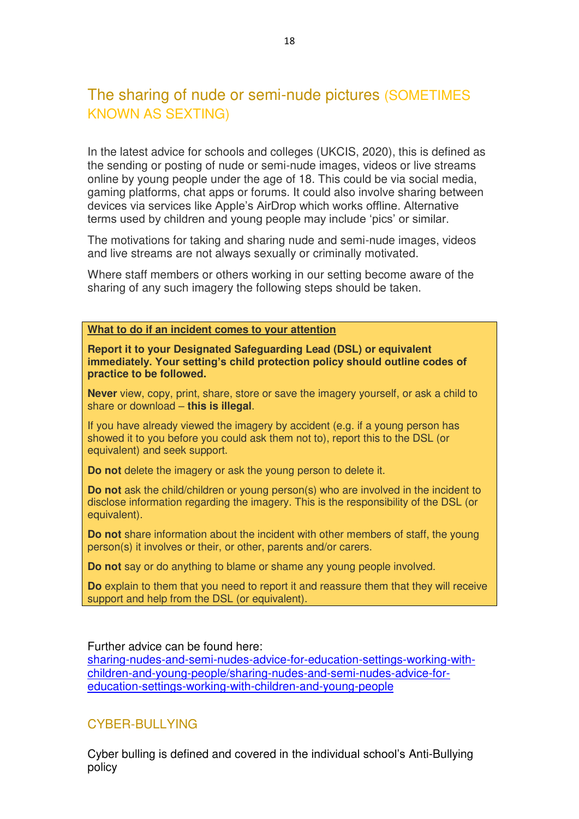## The sharing of nude or semi-nude pictures (SOMETIMES KNOWN AS SEXTING)

In the latest advice for schools and colleges (UKCIS, 2020), this is defined as the sending or posting of nude or semi-nude images, videos or live streams online by young people under the age of 18. This could be via social media, gaming platforms, chat apps or forums. It could also involve sharing between devices via services like Apple's AirDrop which works offline. Alternative terms used by children and young people may include 'pics' or similar.

The motivations for taking and sharing nude and semi-nude images, videos and live streams are not always sexually or criminally motivated.

Where staff members or others working in our setting become aware of the sharing of any such imagery the following steps should be taken.

#### **What to do if an incident comes to your attention**

**Report it to your Designated Safeguarding Lead (DSL) or equivalent immediately. Your setting's child protection policy should outline codes of practice to be followed.**

**Never** view, copy, print, share, store or save the imagery yourself, or ask a child to share or download – **this is illegal**.

If you have already viewed the imagery by accident (e.g. if a young person has showed it to you before you could ask them not to), report this to the DSL (or equivalent) and seek support.

**Do not** delete the imagery or ask the young person to delete it.

**Do not** ask the child/children or young person(s) who are involved in the incident to disclose information regarding the imagery. This is the responsibility of the DSL (or equivalent).

**Do not** share information about the incident with other members of staff, the young person(s) it involves or their, or other, parents and/or carers.

**Do not** say or do anything to blame or shame any young people involved.

**Do** explain to them that you need to report it and reassure them that they will receive support and help from the DSL (or equivalent).

Further advice can be found here:

[sharing-nudes-and-semi-nudes-advice-for-education-settings-working-with](https://www.gov.uk/government/publications/sharing-nudes-and-semi-nudes-advice-for-education-settings-working-with-children-and-young-people/sharing-nudes-and-semi-nudes-advice-for-education-settings-working-with-children-and-young-people)[children-and-young-people/sharing-nudes-and-semi-nudes-advice-for](https://www.gov.uk/government/publications/sharing-nudes-and-semi-nudes-advice-for-education-settings-working-with-children-and-young-people/sharing-nudes-and-semi-nudes-advice-for-education-settings-working-with-children-and-young-people)[education-settings-working-with-children-and-young-people](https://www.gov.uk/government/publications/sharing-nudes-and-semi-nudes-advice-for-education-settings-working-with-children-and-young-people/sharing-nudes-and-semi-nudes-advice-for-education-settings-working-with-children-and-young-people)

#### CYBER-BULLYING

Cyber bulling is defined and covered in the individual school's Anti-Bullying policy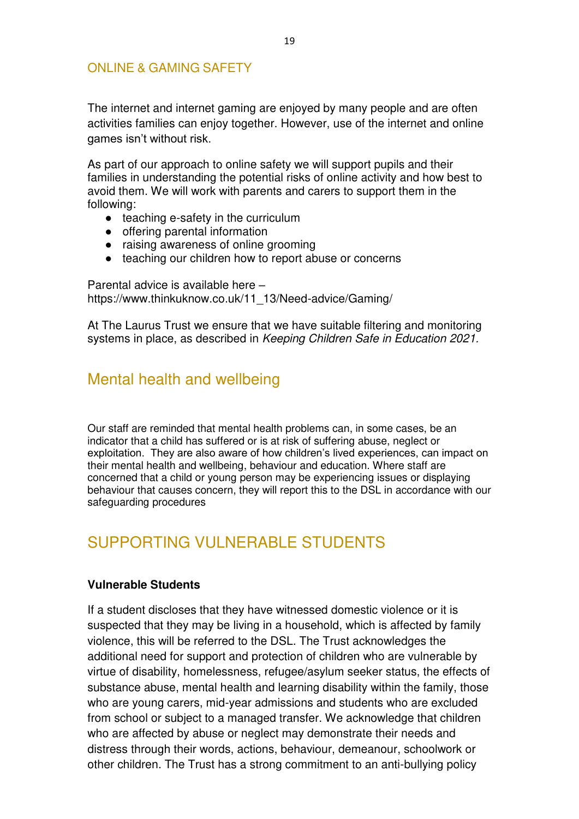#### ONLINE & GAMING SAFETY

The internet and internet gaming are enjoyed by many people and are often activities families can enjoy together. However, use of the internet and online games isn't without risk.

As part of our approach to online safety we will support pupils and their families in understanding the potential risks of online activity and how best to avoid them. We will work with parents and carers to support them in the following:

- teaching e-safety in the curriculum
- offering parental information
- raising awareness of online grooming
- teaching our children how to report abuse or concerns

Parental advice is available here – https://www.thinkuknow.co.uk/11\_13/Need-advice/Gaming/

At The Laurus Trust we ensure that we have suitable filtering and monitoring systems in place, as described in Keeping Children Safe in Education 2021.

## Mental health and wellbeing

Our staff are reminded that mental health problems can, in some cases, be an indicator that a child has suffered or is at risk of suffering abuse, neglect or exploitation. They are also aware of how children's lived experiences, can impact on their mental health and wellbeing, behaviour and education. Where staff are concerned that a child or young person may be experiencing issues or displaying behaviour that causes concern, they will report this to the DSL in accordance with our safeguarding procedures

## <span id="page-18-0"></span>SUPPORTING VULNERABLE STUDENTS

#### **Vulnerable Students**

If a student discloses that they have witnessed domestic violence or it is suspected that they may be living in a household, which is affected by family violence, this will be referred to the DSL. The Trust acknowledges the additional need for support and protection of children who are vulnerable by virtue of disability, homelessness, refugee/asylum seeker status, the effects of substance abuse, mental health and learning disability within the family, those who are young carers, mid-year admissions and students who are excluded from school or subject to a managed transfer. We acknowledge that children who are affected by abuse or neglect may demonstrate their needs and distress through their words, actions, behaviour, demeanour, schoolwork or other children. The Trust has a strong commitment to an anti-bullying policy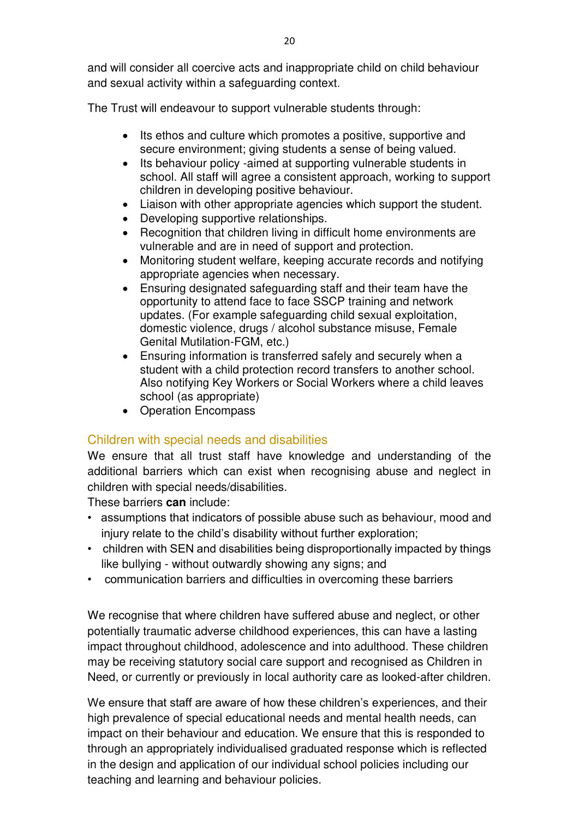and will consider all coercive acts and inappropriate child on child behaviour and sexual activity within a safeguarding context.

The Trust will endeavour to support vulnerable students through:

- Its ethos and culture which promotes a positive, supportive and secure environment; giving students a sense of being valued.
- Its behaviour policy -aimed at supporting vulnerable students in school. All staff will agree a consistent approach, working to support children in developing positive behaviour.
- Liaison with other appropriate agencies which support the student.
- Developing supportive relationships.
- Recognition that children living in difficult home environments are vulnerable and are in need of support and protection.
- Monitoring student welfare, keeping accurate records and notifying appropriate agencies when necessary.
- Ensuring designated safeguarding staff and their team have the opportunity to attend face to face SSCP training and network updates. (For example safeguarding child sexual exploitation, domestic violence, drugs / alcohol substance misuse, Female Genital Mutilation-FGM, etc.)
- Ensuring information is transferred safely and securely when a student with a child protection record transfers to another school. Also notifying Key Workers or Social Workers where a child leaves school (as appropriate)
- Operation Encompass

#### Children with special needs and disabilities

We ensure that all trust staff have knowledge and understanding of the additional barriers which can exist when recognising abuse and neglect in children with special needs/disabilities.

These barriers **can** include:

- assumptions that indicators of possible abuse such as behaviour, mood and injury relate to the child's disability without further exploration;
- children with SEN and disabilities being disproportionally impacted by things like bullying - without outwardly showing any signs; and
- communication barriers and difficulties in overcoming these barriers

We recognise that where children have suffered abuse and neglect, or other potentially traumatic adverse childhood experiences, this can have a lasting impact throughout childhood, adolescence and into adulthood. These children may be receiving statutory social care support and recognised as Children in Need, or currently or previously in local authority care as looked-after children.

We ensure that staff are aware of how these children's experiences, and their high prevalence of special educational needs and mental health needs, can impact on their behaviour and education. We ensure that this is responded to through an appropriately individualised graduated response which is reflected in the design and application of our individual school policies including our teaching and learning and behaviour policies.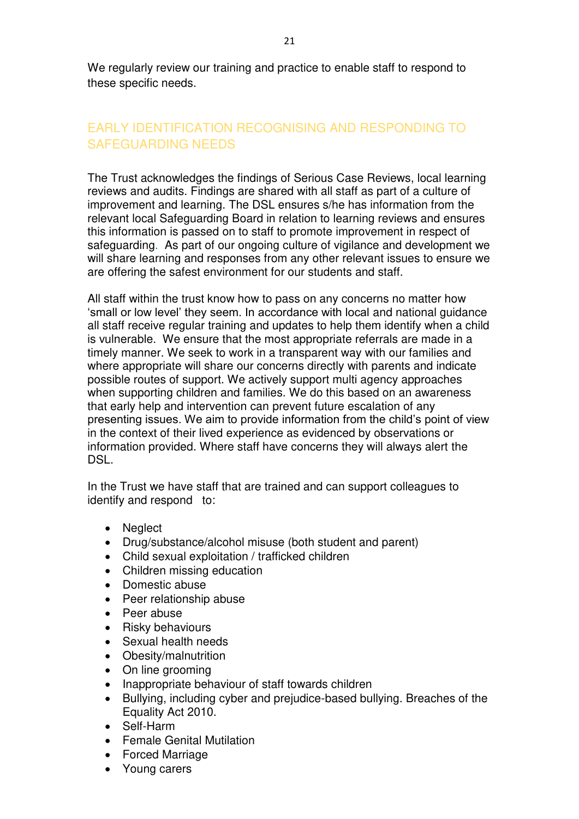We regularly review our training and practice to enable staff to respond to these specific needs.

## <span id="page-20-0"></span>EARLY IDENTIFICATION RECOGNISING AND RESPONDING TO SAFEGUARDING NEEDS

The Trust acknowledges the findings of Serious Case Reviews, local learning reviews and audits. Findings are shared with all staff as part of a culture of improvement and learning. The DSL ensures s/he has information from the relevant local Safeguarding Board in relation to learning reviews and ensures this information is passed on to staff to promote improvement in respect of safeguarding. As part of our ongoing culture of vigilance and development we will share learning and responses from any other relevant issues to ensure we are offering the safest environment for our students and staff.

All staff within the trust know how to pass on any concerns no matter how 'small or low level' they seem. In accordance with local and national guidance all staff receive regular training and updates to help them identify when a child is vulnerable. We ensure that the most appropriate referrals are made in a timely manner. We seek to work in a transparent way with our families and where appropriate will share our concerns directly with parents and indicate possible routes of support. We actively support multi agency approaches when supporting children and families. We do this based on an awareness that early help and intervention can prevent future escalation of any presenting issues. We aim to provide information from the child's point of view in the context of their lived experience as evidenced by observations or information provided. Where staff have concerns they will always alert the DSL.

In the Trust we have staff that are trained and can support colleagues to identify and respond to:

- Neglect
- Drug/substance/alcohol misuse (both student and parent)
- Child sexual exploitation / trafficked children
- Children missing education
- Domestic abuse
- Peer relationship abuse
- Peer abuse
- Risky behaviours
- Sexual health needs
- Obesity/malnutrition
- On line grooming
- Inappropriate behaviour of staff towards children
- Bullying, including cyber and prejudice-based bullying. Breaches of the Equality Act 2010.
- Self-Harm
- Female Genital Mutilation
- Forced Marriage
- Young carers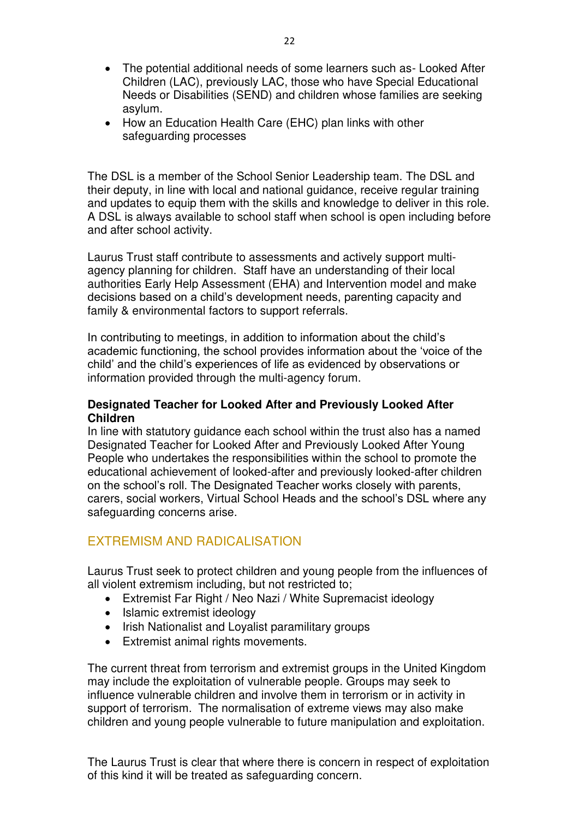- The potential additional needs of some learners such as- Looked After Children (LAC), previously LAC, those who have Special Educational Needs or Disabilities (SEND) and children whose families are seeking asylum.
- How an Education Health Care (EHC) plan links with other safeguarding processes

The DSL is a member of the School Senior Leadership team. The DSL and their deputy, in line with local and national guidance, receive regular training and updates to equip them with the skills and knowledge to deliver in this role. A DSL is always available to school staff when school is open including before and after school activity.

Laurus Trust staff contribute to assessments and actively support multiagency planning for children. Staff have an understanding of their local authorities Early Help Assessment (EHA) and Intervention model and make decisions based on a child's development needs, parenting capacity and family & environmental factors to support referrals.

In contributing to meetings, in addition to information about the child's academic functioning, the school provides information about the 'voice of the child' and the child's experiences of life as evidenced by observations or information provided through the multi-agency forum.

#### **Designated Teacher for Looked After and Previously Looked After Children**

In line with statutory guidance each school within the trust also has a named Designated Teacher for Looked After and Previously Looked After Young People who undertakes the responsibilities within the school to promote the educational achievement of looked-after and previously looked-after children on the school's roll. The Designated Teacher works closely with parents, carers, social workers, Virtual School Heads and the school's DSL where any safeguarding concerns arise.

## <span id="page-21-0"></span>EXTREMISM AND RADICALISATION

Laurus Trust seek to protect children and young people from the influences of all violent extremism including, but not restricted to;

- Extremist Far Right / Neo Nazi / White Supremacist ideology
- Islamic extremist ideology
- Irish Nationalist and Loyalist paramilitary groups
- Extremist animal rights movements.

The current threat from terrorism and extremist groups in the United Kingdom may include the exploitation of vulnerable people. Groups may seek to influence vulnerable children and involve them in terrorism or in activity in support of terrorism. The normalisation of extreme views may also make children and young people vulnerable to future manipulation and exploitation.

The Laurus Trust is clear that where there is concern in respect of exploitation of this kind it will be treated as safeguarding concern.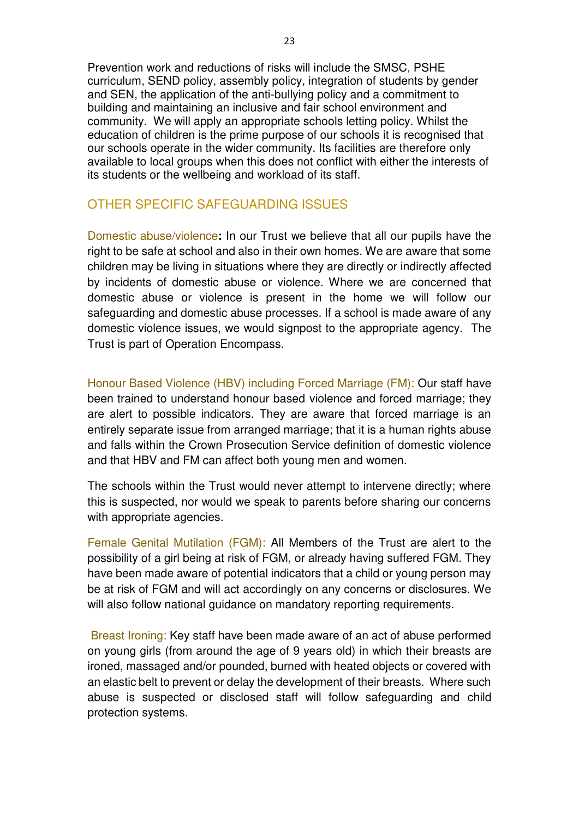Prevention work and reductions of risks will include the SMSC, PSHE curriculum, SEND policy, assembly policy, integration of students by gender and SEN, the application of the anti-bullying policy and a commitment to building and maintaining an inclusive and fair school environment and community. We will apply an appropriate schools letting policy. Whilst the education of children is the prime purpose of our schools it is recognised that our schools operate in the wider community. Its facilities are therefore only available to local groups when this does not conflict with either the interests of its students or the wellbeing and workload of its staff.

#### OTHER SPECIFIC SAFEGUARDING ISSUES

Domestic abuse/violence**:** In our Trust we believe that all our pupils have the right to be safe at school and also in their own homes. We are aware that some children may be living in situations where they are directly or indirectly affected by incidents of domestic abuse or violence. Where we are concerned that domestic abuse or violence is present in the home we will follow our safeguarding and domestic abuse processes. If a school is made aware of any domestic violence issues, we would signpost to the appropriate agency. The Trust is part of Operation Encompass.

Honour Based Violence (HBV) including Forced Marriage (FM): Our staff have been trained to understand honour based violence and forced marriage; they are alert to possible indicators. They are aware that forced marriage is an entirely separate issue from arranged marriage; that it is a human rights abuse and falls within the Crown Prosecution Service definition of domestic violence and that HBV and FM can affect both young men and women.

The schools within the Trust would never attempt to intervene directly; where this is suspected, nor would we speak to parents before sharing our concerns with appropriate agencies.

Female Genital Mutilation (FGM): All Members of the Trust are alert to the possibility of a girl being at risk of FGM, or already having suffered FGM. They have been made aware of potential indicators that a child or young person may be at risk of FGM and will act accordingly on any concerns or disclosures. We will also follow national quidance on mandatory reporting requirements.

Breast Ironing: Key staff have been made aware of an act of abuse performed on young girls (from around the age of 9 years old) in which their breasts are ironed, massaged and/or pounded, burned with heated objects or covered with an elastic belt to prevent or delay the development of their breasts. Where such abuse is suspected or disclosed staff will follow safeguarding and child protection systems.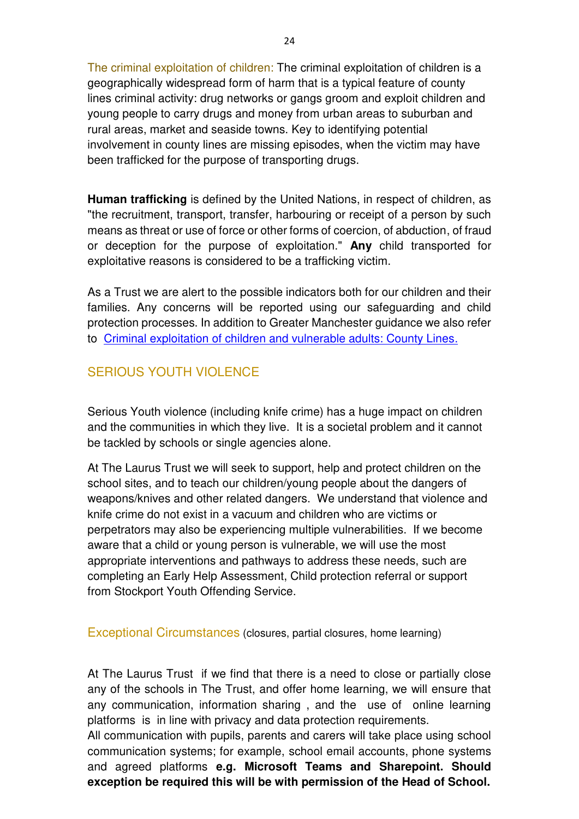The criminal exploitation of children: The criminal exploitation of children is a geographically widespread form of harm that is a typical feature of county lines criminal activity: drug networks or gangs groom and exploit children and young people to carry drugs and money from urban areas to suburban and rural areas, market and seaside towns. Key to identifying potential involvement in county lines are missing episodes, when the victim may have been trafficked for the purpose of transporting drugs.

**Human trafficking** is defined by the United Nations, in respect of children, as "the recruitment, transport, transfer, harbouring or receipt of a person by such means as threat or use of force or other forms of coercion, of abduction, of fraud or deception for the purpose of exploitation." **Any** child transported for exploitative reasons is considered to be a trafficking victim.

As a Trust we are alert to the possible indicators both for our children and their families. Any concerns will be reported using our safeguarding and child protection processes. In addition to Greater Manchester guidance we also refer to [Criminal exploitation of children and vulnerable adults: County Lines.](https://www.gov.uk/government/uploads/system/uploads/attachment_data/file/626770/6_3505_HO_Child_exploitation_FINAL_web__2_.pdf)

#### SERIOUS YOUTH VIOLENCE

Serious Youth violence (including knife crime) has a huge impact on children and the communities in which they live. It is a societal problem and it cannot be tackled by schools or single agencies alone.

At The Laurus Trust we will seek to support, help and protect children on the school sites, and to teach our children/young people about the dangers of weapons/knives and other related dangers. We understand that violence and knife crime do not exist in a vacuum and children who are victims or perpetrators may also be experiencing multiple vulnerabilities. If we become aware that a child or young person is vulnerable, we will use the most appropriate interventions and pathways to address these needs, such are completing an Early Help Assessment, Child protection referral or support from Stockport Youth Offending Service.

Exceptional Circumstances (closures, partial closures, home learning)

At The Laurus Trust if we find that there is a need to close or partially close any of the schools in The Trust, and offer home learning, we will ensure that any communication, information sharing , and the use of online learning platforms is in line with privacy and data protection requirements.

All communication with pupils, parents and carers will take place using school communication systems; for example, school email accounts, phone systems and agreed platforms **e.g. Microsoft Teams and Sharepoint. Should exception be required this will be with permission of the Head of School.**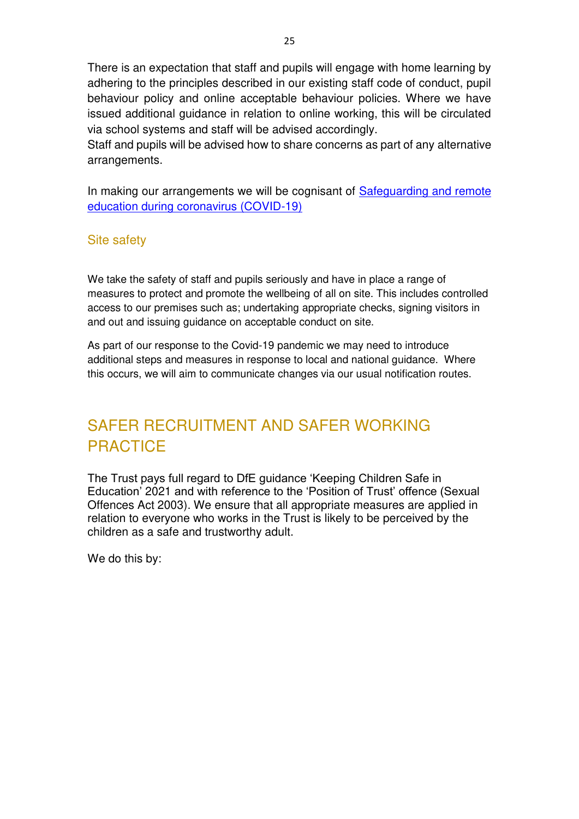There is an expectation that staff and pupils will engage with home learning by adhering to the principles described in our existing staff code of conduct, pupil behaviour policy and online acceptable behaviour policies. Where we have issued additional guidance in relation to online working, this will be circulated via school systems and staff will be advised accordingly.

Staff and pupils will be advised how to share concerns as part of any alternative arrangements.

In making our arrangements we will be cognisant of Safeguarding and remote [education during coronavirus \(COVID-19\)](https://www.gov.uk/guidance/safeguarding-and-remote-education-during-coronavirus-covid-19)

#### Site safety

We take the safety of staff and pupils seriously and have in place a range of measures to protect and promote the wellbeing of all on site. This includes controlled access to our premises such as; undertaking appropriate checks, signing visitors in and out and issuing guidance on acceptable conduct on site.

As part of our response to the Covid-19 pandemic we may need to introduce additional steps and measures in response to local and national guidance. Where this occurs, we will aim to communicate changes via our usual notification routes.

# <span id="page-24-0"></span>SAFER RECRUITMENT AND SAFER WORKING **PRACTICE**

The Trust pays full regard to DfE guidance 'Keeping Children Safe in Education' 2021 and with reference to the 'Position of Trust' offence (Sexual Offences Act 2003). We ensure that all appropriate measures are applied in relation to everyone who works in the Trust is likely to be perceived by the children as a safe and trustworthy adult.

We do this by: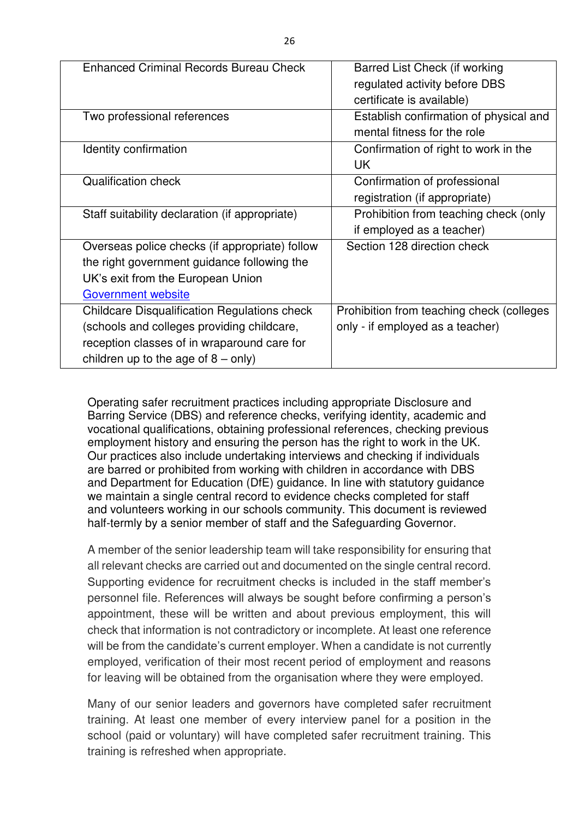| <b>Enhanced Criminal Records Bureau Check</b>       | Barred List Check (if working             |  |
|-----------------------------------------------------|-------------------------------------------|--|
|                                                     | regulated activity before DBS             |  |
|                                                     | certificate is available)                 |  |
| Two professional references                         | Establish confirmation of physical and    |  |
|                                                     | mental fitness for the role               |  |
| Identity confirmation                               | Confirmation of right to work in the      |  |
|                                                     | UK                                        |  |
| <b>Qualification check</b>                          | Confirmation of professional              |  |
|                                                     | registration (if appropriate)             |  |
| Staff suitability declaration (if appropriate)      | Prohibition from teaching check (only     |  |
|                                                     | if employed as a teacher)                 |  |
| Overseas police checks (if appropriate) follow      | Section 128 direction check               |  |
| the right government guidance following the         |                                           |  |
| UK's exit from the European Union                   |                                           |  |
| <b>Government website</b>                           |                                           |  |
| <b>Childcare Disqualification Regulations check</b> | Prohibition from teaching check (colleges |  |
| (schools and colleges providing childcare,          | only - if employed as a teacher)          |  |
| reception classes of in wraparound care for         |                                           |  |
| children up to the age of $8 - only$ )              |                                           |  |

Operating safer recruitment practices including appropriate Disclosure and Barring Service (DBS) and reference checks, verifying identity, academic and vocational qualifications, obtaining professional references, checking previous employment history and ensuring the person has the right to work in the UK. Our practices also include undertaking interviews and checking if individuals are barred or prohibited from working with children in accordance with DBS and Department for Education (DfE) guidance. In line with statutory guidance we maintain a single central record to evidence checks completed for staff and volunteers working in our schools community. This document is reviewed half-termly by a senior member of staff and the Safeguarding Governor.

A member of the senior leadership team will take responsibility for ensuring that all relevant checks are carried out and documented on the single central record. Supporting evidence for recruitment checks is included in the staff member's personnel file. References will always be sought before confirming a person's appointment, these will be written and about previous employment, this will check that information is not contradictory or incomplete. At least one reference will be from the candidate's current employer. When a candidate is not currently employed, verification of their most recent period of employment and reasons for leaving will be obtained from the organisation where they were employed.

Many of our senior leaders and governors have completed safer recruitment training. At least one member of every interview panel for a position in the school (paid or voluntary) will have completed safer recruitment training. This training is refreshed when appropriate.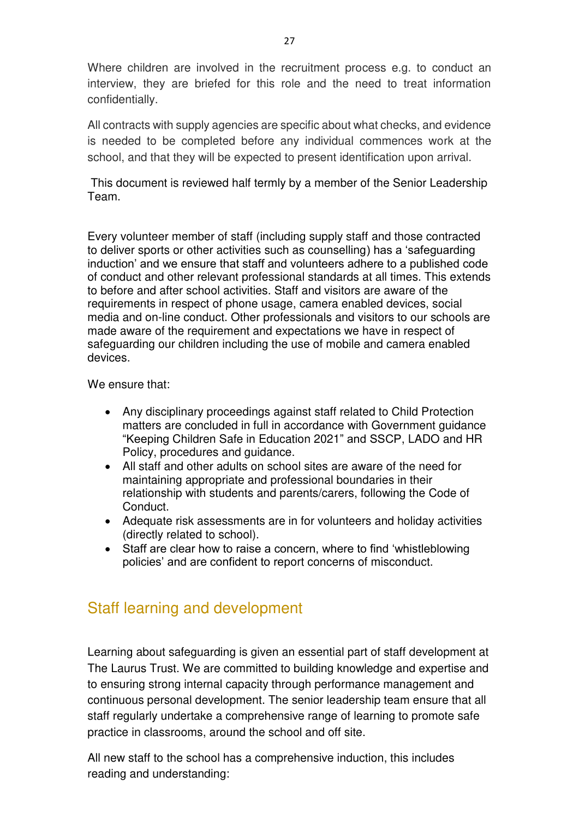Where children are involved in the recruitment process e.g. to conduct an interview, they are briefed for this role and the need to treat information confidentially.

All contracts with supply agencies are specific about what checks, and evidence is needed to be completed before any individual commences work at the school, and that they will be expected to present identification upon arrival.

 This document is reviewed half termly by a member of the Senior Leadership Team.

Every volunteer member of staff (including supply staff and those contracted to deliver sports or other activities such as counselling) has a 'safeguarding induction' and we ensure that staff and volunteers adhere to a published code of conduct and other relevant professional standards at all times. This extends to before and after school activities. Staff and visitors are aware of the requirements in respect of phone usage, camera enabled devices, social media and on-line conduct. Other professionals and visitors to our schools are made aware of the requirement and expectations we have in respect of safeguarding our children including the use of mobile and camera enabled devices.

We ensure that:

- Any disciplinary proceedings against staff related to Child Protection matters are concluded in full in accordance with Government guidance "Keeping Children Safe in Education 2021" and SSCP, LADO and HR Policy, procedures and guidance.
- All staff and other adults on school sites are aware of the need for maintaining appropriate and professional boundaries in their relationship with students and parents/carers, following the Code of Conduct.
- Adequate risk assessments are in for volunteers and holiday activities (directly related to school).
- Staff are clear how to raise a concern, where to find 'whistleblowing policies' and are confident to report concerns of misconduct.

## Staff learning and development

Learning about safeguarding is given an essential part of staff development at The Laurus Trust. We are committed to building knowledge and expertise and to ensuring strong internal capacity through performance management and continuous personal development. The senior leadership team ensure that all staff regularly undertake a comprehensive range of learning to promote safe practice in classrooms, around the school and off site.

All new staff to the school has a comprehensive induction, this includes reading and understanding: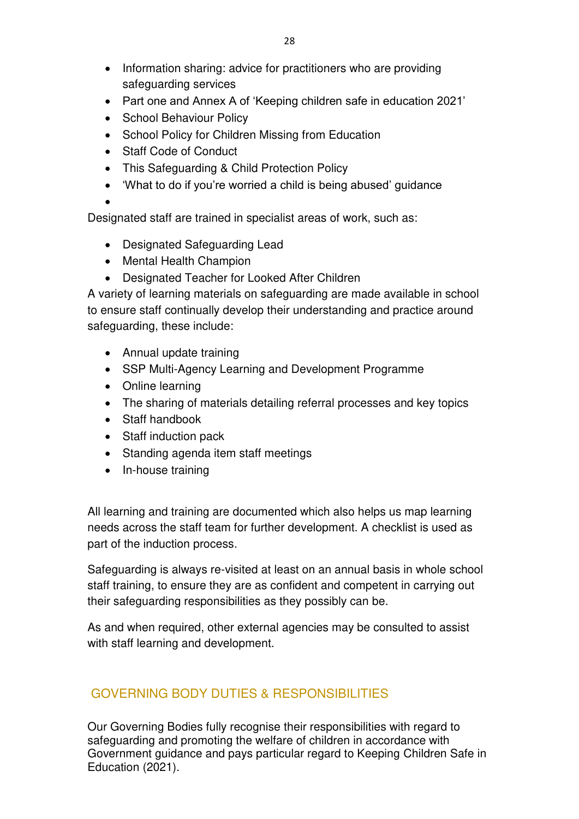- Information sharing: advice for practitioners who are providing safeguarding services
- Part one and Annex A of 'Keeping children safe in education 2021'
- School Behaviour Policy
- School Policy for Children Missing from Education
- Staff Code of Conduct
- This Safeguarding & Child Protection Policy
- 'What to do if you're worried a child is being abused' guidance
- •

Designated staff are trained in specialist areas of work, such as:

- Designated Safeguarding Lead
- Mental Health Champion
- Designated Teacher for Looked After Children

A variety of learning materials on safeguarding are made available in school to ensure staff continually develop their understanding and practice around safeguarding, these include:

- Annual update training
- SSP Multi-Agency Learning and Development Programme
- Online learning
- The sharing of materials detailing referral processes and key topics
- Staff handbook
- Staff induction pack
- Standing agenda item staff meetings
- In-house training

All learning and training are documented which also helps us map learning needs across the staff team for further development. A checklist is used as part of the induction process.

Safeguarding is always re-visited at least on an annual basis in whole school staff training, to ensure they are as confident and competent in carrying out their safeguarding responsibilities as they possibly can be.

As and when required, other external agencies may be consulted to assist with staff learning and development.

## <span id="page-27-0"></span>GOVERNING BODY DUTIES & RESPONSIBILITIES

Our Governing Bodies fully recognise their responsibilities with regard to safeguarding and promoting the welfare of children in accordance with Government guidance and pays particular regard to Keeping Children Safe in Education (2021).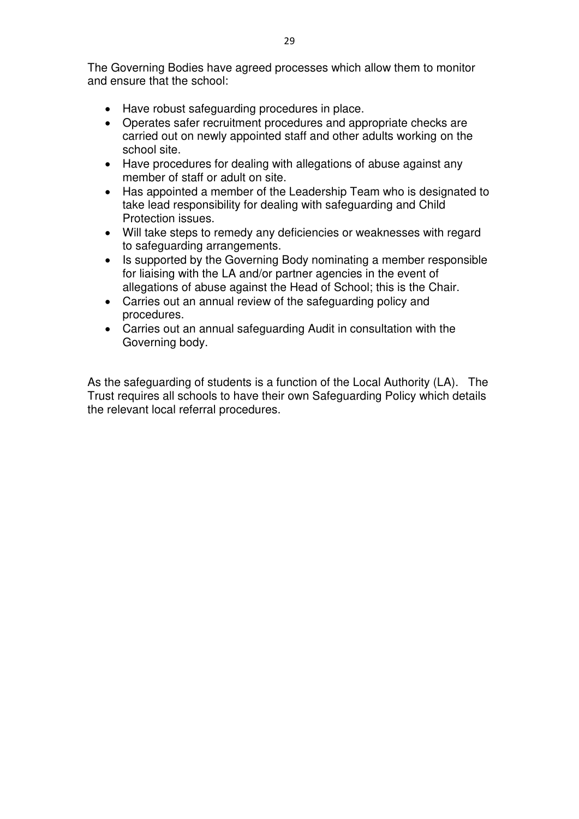The Governing Bodies have agreed processes which allow them to monitor and ensure that the school:

- Have robust safeguarding procedures in place.
- Operates safer recruitment procedures and appropriate checks are carried out on newly appointed staff and other adults working on the school site.
- Have procedures for dealing with allegations of abuse against any member of staff or adult on site.
- Has appointed a member of the Leadership Team who is designated to take lead responsibility for dealing with safeguarding and Child Protection issues.
- Will take steps to remedy any deficiencies or weaknesses with regard to safeguarding arrangements.
- Is supported by the Governing Body nominating a member responsible for liaising with the LA and/or partner agencies in the event of allegations of abuse against the Head of School; this is the Chair.
- Carries out an annual review of the safeguarding policy and procedures.
- Carries out an annual safeguarding Audit in consultation with the Governing body.

As the safeguarding of students is a function of the Local Authority (LA). The Trust requires all schools to have their own Safeguarding Policy which details the relevant local referral procedures.